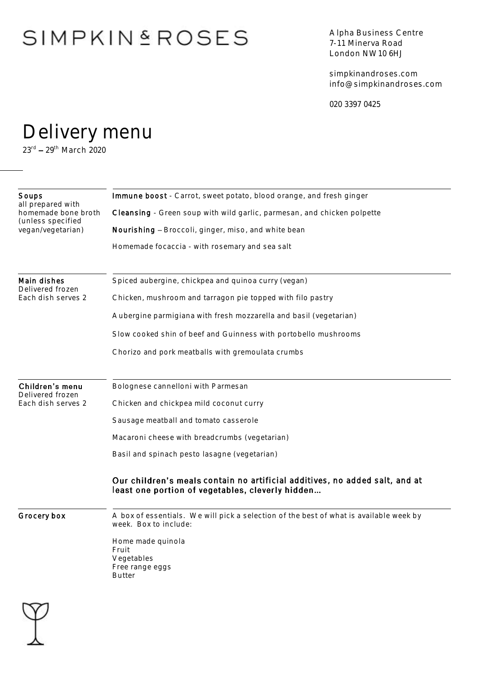# **SIMPKINSROSES**

Alpha Business Centre 7-11 Minerva Road London NW10 6HJ

simpkinandroses.com info@simpkinandroses.com

020 3397 0425

### Delivery menu

23<sup>rd</sup> – 29<sup>th</sup> March 2020

| Immune boost - Carrot, sweet potato, blood orange, and fresh ginger                                                             |
|---------------------------------------------------------------------------------------------------------------------------------|
| Cleansing - Green soup with wild garlic, parmesan, and chicken polpette                                                         |
| Nourishing - Broccoli, ginger, miso, and white bean                                                                             |
| Homemade focaccia - with rosemary and sea salt                                                                                  |
| Spiced aubergine, chickpea and quinoa curry (vegan)                                                                             |
| Chicken, mushroom and tarragon pie topped with filo pastry                                                                      |
| Aubergine parmigiana with fresh mozzarella and basil (vegetarian)                                                               |
| Slow cooked shin of beef and Guinness with portobello mushrooms                                                                 |
| Chorizo and pork meatballs with gremoulata crumbs                                                                               |
|                                                                                                                                 |
| Bolognese cannelloni with Parmesan                                                                                              |
| Chicken and chickpea mild coconut curry                                                                                         |
| Sausage meatball and tomato casserole                                                                                           |
| Macaroni cheese with breadcrumbs (vegetarian)                                                                                   |
| Basil and spinach pesto lasagne (vegetarian)                                                                                    |
| Our children's meals contain no artificial additives, no added salt, and at<br>least one portion of vegetables, cleverly hidden |
| A box of essentials. We will pick a selection of the best of what is available week by<br>week. Box to include:                 |
| Home made quinola<br>Fruit<br>Vegetables<br>Free range eggs<br><b>Butter</b>                                                    |
|                                                                                                                                 |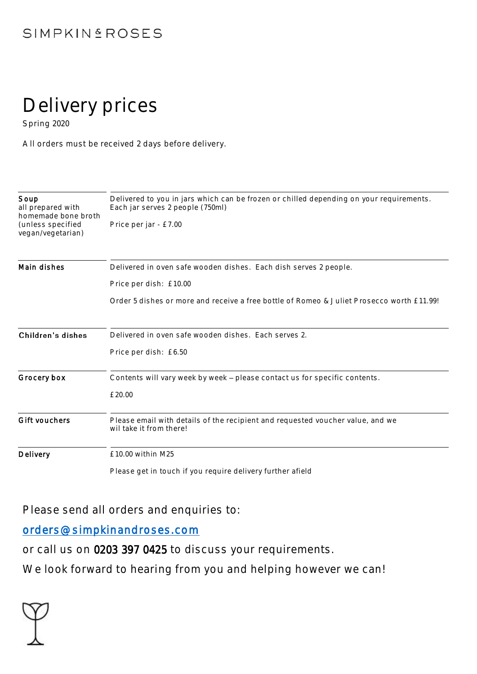### **SIMPKINSROSES**

# Delivery prices

Spring 2020

All orders must be received 2 days before delivery.

| Soup<br>all prepared with<br>homemade bone broth<br>(unless specified<br>vegan/vegetarian) | Delivered to you in jars which can be frozen or chilled depending on your requirements.<br>Each jar serves 2 people (750ml) |
|--------------------------------------------------------------------------------------------|-----------------------------------------------------------------------------------------------------------------------------|
|                                                                                            | Price per jar - £7.00                                                                                                       |
| Main dishes                                                                                | Delivered in oven safe wooden dishes. Each dish serves 2 people.                                                            |
|                                                                                            | Price per dish: £10.00                                                                                                      |
|                                                                                            | Order 5 dishes or more and receive a free bottle of Romeo & Juliet Prosecco worth £11.99!                                   |
| Children's dishes                                                                          | Delivered in oven safe wooden dishes. Each serves 2.                                                                        |
|                                                                                            | Price per dish: £6.50                                                                                                       |
| Grocery box                                                                                | Contents will vary week by week - please contact us for specific contents.                                                  |
|                                                                                            | £20.00                                                                                                                      |
| Gift vouchers                                                                              | Please email with details of the recipient and requested voucher value, and we<br>wil take it from there!                   |
| Delivery                                                                                   | £10.00 within M25                                                                                                           |
|                                                                                            | Please get in touch if you require delivery further afield                                                                  |

Please send all orders and enquiries to:

#### [orders@simpkinandroses.com](mailto:orders@simpkinandroses.com)

or call us on 0203 397 0425 to discuss your requirements.

We look forward to hearing from you and helping however we can!